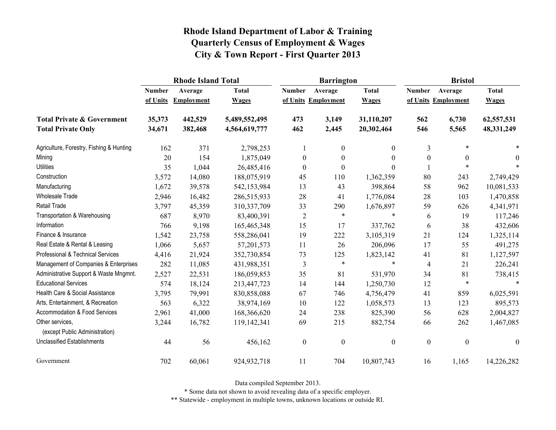|                                                   |               | <b>Rhode Island Total</b> |               |                  | <b>Barrington</b>   |                  | <b>Bristol</b>   |                     |                  |
|---------------------------------------------------|---------------|---------------------------|---------------|------------------|---------------------|------------------|------------------|---------------------|------------------|
|                                                   | <b>Number</b> | Average                   | <b>Total</b>  | <b>Number</b>    | Average             | <b>Total</b>     | <b>Number</b>    | Average             | <b>Total</b>     |
|                                                   | of Units      | <b>Employment</b>         | <b>Wages</b>  |                  | of Units Employment | <b>Wages</b>     |                  | of Units Employment | <b>Wages</b>     |
| <b>Total Private &amp; Government</b>             | 35,373        | 442,529                   | 5,489,552,495 | 473              | 3,149               | 31,110,207       | 562              | 6,730               | 62,557,531       |
| <b>Total Private Only</b>                         | 34,671        | 382,468                   | 4,564,619,777 | 462              | 2,445               | 20,302,464       | 546              | 5,565               | 48,331,249       |
| Agriculture, Forestry, Fishing & Hunting          | 162           | 371                       | 2,798,253     |                  | $\boldsymbol{0}$    | 0                | 3                | *                   |                  |
| Mining                                            | 20            | 154                       | 1,875,049     | $\boldsymbol{0}$ | $\boldsymbol{0}$    | $\theta$         | $\boldsymbol{0}$ | $\theta$            | $\theta$         |
| <b>Utilities</b>                                  | 35            | 1,044                     | 26,485,416    | $\theta$         | $\overline{0}$      | 0                |                  | $\ast$              |                  |
| Construction                                      | 3,572         | 14,080                    | 188,075,919   | 45               | 110                 | 1,362,359        | 80               | 243                 | 2,749,429        |
| Manufacturing                                     | 1,672         | 39,578                    | 542,153,984   | 13               | 43                  | 398,864          | 58               | 962                 | 10,081,533       |
| <b>Wholesale Trade</b>                            | 2,946         | 16,482                    | 286,515,933   | 28               | 41                  | 1,776,084        | 28               | 103                 | 1,470,858        |
| <b>Retail Trade</b>                               | 3,797         | 45,359                    | 310,337,709   | 33               | 290                 | 1,676,897        | 59               | 626                 | 4,341,971        |
| Transportation & Warehousing                      | 687           | 8,970                     | 83,400,391    | $\overline{2}$   | $\ast$              | $\ast$           | 6                | 19                  | 117,246          |
| Information                                       | 766           | 9,198                     | 165,465,348   | 15               | 17                  | 337,762          | 6                | 38                  | 432,606          |
| Finance & Insurance                               | 1,542         | 23,758                    | 558,286,041   | 19               | 222                 | 3,105,319        | 21               | 124                 | 1,325,114        |
| Real Estate & Rental & Leasing                    | 1,066         | 5,657                     | 57,201,573    | 11               | 26                  | 206,096          | 17               | 55                  | 491,275          |
| Professional & Technical Services                 | 4,416         | 21,924                    | 352,730,854   | 73               | 125                 | 1,823,142        | 41               | 81                  | 1,127,597        |
| Management of Companies & Enterprises             | 282           | 11,085                    | 431,988,351   | 3                | $\ast$              | $\ast$           | $\overline{4}$   | 21                  | 226,241          |
| Administrative Support & Waste Mngmnt.            | 2,527         | 22,531                    | 186,059,853   | 35               | 81                  | 531,970          | 34               | 81                  | 738,415          |
| <b>Educational Services</b>                       | 574           | 18,124                    | 213,447,723   | 14               | 144                 | 1,250,730        | 12               | $\ast$              | $\ast$           |
| Health Care & Social Assistance                   | 3,795         | 79,991                    | 830, 858, 088 | 67               | 746                 | 4,756,479        | 41               | 859                 | 6,025,591        |
| Arts, Entertainment, & Recreation                 | 563           | 6,322                     | 38,974,169    | 10               | 122                 | 1,058,573        | 13               | 123                 | 895,573          |
| Accommodation & Food Services                     | 2,961         | 41,000                    | 168,366,620   | 24               | 238                 | 825,390          | 56               | 628                 | 2,004,827        |
| Other services,<br>(except Public Administration) | 3,244         | 16,782                    | 119,142,341   | 69               | 215                 | 882,754          | 66               | 262                 | 1,467,085        |
| <b>Unclassified Establishments</b>                | 44            | 56                        | 456,162       | $\boldsymbol{0}$ | $\boldsymbol{0}$    | $\boldsymbol{0}$ | $\boldsymbol{0}$ | $\boldsymbol{0}$    | $\boldsymbol{0}$ |
| Government                                        | 702           | 60,061                    | 924, 932, 718 | 11               | 704                 | 10,807,743       | 16               | 1,165               | 14,226,282       |

Data compiled September 2013.

\* Some data not shown to avoid revealing data of a specific employer.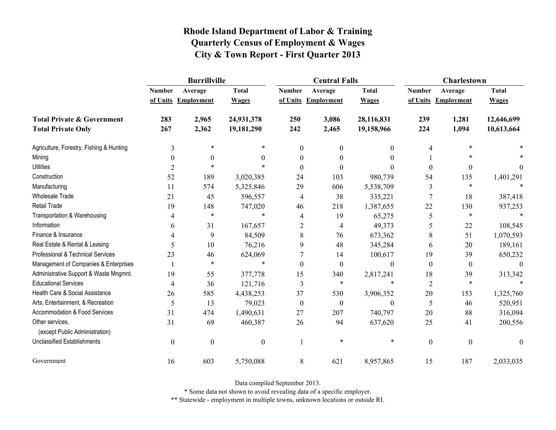|                                          | <b>Burrillville</b> |                     |                  |                  | <b>Central Falls</b> |                  | <b>Charlestown</b> |                     |              |
|------------------------------------------|---------------------|---------------------|------------------|------------------|----------------------|------------------|--------------------|---------------------|--------------|
|                                          | <b>Number</b>       | Average             | <b>Total</b>     | <b>Number</b>    | Average              | <b>Total</b>     | <b>Number</b>      | Average             | <b>Total</b> |
|                                          |                     | of Units Employment | <b>Wages</b>     |                  | of Units Employment  | <b>Wages</b>     |                    | of Units Employment | <b>Wages</b> |
| <b>Total Private &amp; Government</b>    | 283                 | 2,965               | 24,931,378       | 250              | 3,086                | 28,116,831       | 239                | 1,281               | 12,646,699   |
| <b>Total Private Only</b>                | 267                 | 2,362               | 19,181,290       | 242              | 2,465                | 19,158,966       | 224                | 1,094               | 10,613,664   |
| Agriculture, Forestry, Fishing & Hunting | 3                   | $\ast$              | $\ast$           | $\Omega$         | $\theta$             | $\theta$         | 4                  | $\ast$              |              |
| Mining                                   | $\theta$            | $\theta$            | $\theta$         | 0                |                      | 0                |                    | $\ast$              |              |
| <b>Utilities</b>                         | $\overline{2}$      | $\ast$              | $\ast$           | 0                |                      | $\Omega$         | $\mathbf{0}$       | $\boldsymbol{0}$    | 0            |
| Construction                             | 52                  | 189                 | 3,020,385        | 24               | 103                  | 980,739          | 54                 | 135                 | 1,401,291    |
| Manufacturing                            | 11                  | 574                 | 5,325,846        | 29               | 606                  | 5,538,709        | 3                  | $\ast$              |              |
| <b>Wholesale Trade</b>                   | 21                  | 45                  | 596,557          | 4                | 38                   | 335,221          | 7                  | 18                  | 387,418      |
| <b>Retail Trade</b>                      | 19                  | 148                 | 747,020          | 46               | 218                  | 1,387,655        | 22                 | 130                 | 937,253      |
| Transportation & Warehousing             | 4                   | $\ast$              | $\ast$           | 4                | 19                   | 65,275           | 5                  | $\ast$              |              |
| Information                              | 6                   | 31                  | 167,657          | $\overline{2}$   | 4                    | 49,373           | 5                  | 22                  | 108,545      |
| Finance & Insurance                      |                     | 9                   | 84,509           | 8                | 76                   | 673,362          | 8                  | 51                  | 1,070,593    |
| Real Estate & Rental & Leasing           | 5                   | 10                  | 76,216           | 9                | 48                   | 345,284          | 6                  | 20                  | 189,161      |
| Professional & Technical Services        | 23                  | 46                  | 624,069          |                  | 14                   | 100,617          | 19                 | 39                  | 650,232      |
| Management of Companies & Enterprises    |                     | $\ast$              | $\ast$           | $\Omega$         | $\Omega$             | $\theta$         | $\boldsymbol{0}$   | $\theta$            | $\Omega$     |
| Administrative Support & Waste Mngmnt.   | 19                  | 55                  | 377,778          | 15               | 340                  | 2,817,241        | 18                 | 39                  | 313,342      |
| <b>Educational Services</b>              | 4                   | 36                  | 121,716          | 3                | $\ast$               | $\ast$           | $\overline{2}$     | $\ast$              |              |
| Health Care & Social Assistance          | 26                  | 585                 | 4,438,253        | 37               | 530                  | 3,906,352        | $20\,$             | 153                 | 1,325,760    |
| Arts, Entertainment, & Recreation        | 5                   | 13                  | 79,023           | $\boldsymbol{0}$ | $\boldsymbol{0}$     | $\boldsymbol{0}$ | 5                  | 46                  | 520,951      |
| Accommodation & Food Services            | 31                  | 474                 | 1,490,631        | 27               | 207                  | 740,797          | 20                 | 88                  | 316,094      |
| Other services,                          | 31                  | 69                  | 460,387          | 26               | 94                   | 637,620          | 25                 | 41                  | 200,556      |
| (except Public Administration)           |                     |                     |                  |                  |                      |                  |                    |                     |              |
| <b>Unclassified Establishments</b>       | $\boldsymbol{0}$    | $\boldsymbol{0}$    | $\boldsymbol{0}$ |                  | $\ast$               | $\ast$           | $\boldsymbol{0}$   | $\boldsymbol{0}$    | $\theta$     |
| Government                               | 16                  | 603                 | 5,750,088        | 8                | 621                  | 8,957,865        | 15                 | 187                 | 2,033,035    |

Data compiled September 2013.

\* Some data not shown to avoid revealing data of a specific employer.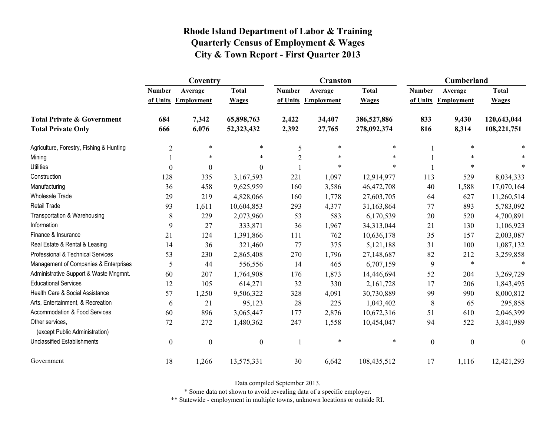|                                                   | Coventry         |                     |                  |                | <b>Cranston</b>     |              | <b>Cumberland</b> |                     |                  |
|---------------------------------------------------|------------------|---------------------|------------------|----------------|---------------------|--------------|-------------------|---------------------|------------------|
|                                                   | <b>Number</b>    | Average             | <b>Total</b>     | <b>Number</b>  | Average             | <b>Total</b> | <b>Number</b>     | Average             | <b>Total</b>     |
|                                                   |                  | of Units Employment | <b>Wages</b>     |                | of Units Employment | <b>Wages</b> |                   | of Units Employment | <b>Wages</b>     |
| <b>Total Private &amp; Government</b>             | 684              | 7,342               | 65,898,763       | 2,422          | 34,407              | 386,527,886  | 833               | 9,430               | 120,643,044      |
| <b>Total Private Only</b>                         | 666              | 6,076               | 52,323,432       | 2,392          | 27,765              | 278,092,374  | 816               | 8,314               | 108,221,751      |
| Agriculture, Forestry, Fishing & Hunting          | $\overline{2}$   | $\ast$              | $\ast$           | 5              | $\ast$              | $\ast$       |                   | $\ast$              |                  |
| Mining                                            |                  | $\ast$              | $\ast$           | $\overline{2}$ | $\ast$              | $\ast$       |                   | $\ast$              |                  |
| <b>Utilities</b>                                  | $\mathbf{0}$     | $\boldsymbol{0}$    | $\boldsymbol{0}$ |                | $\ast$              | $\ast$       |                   | $\ast$              |                  |
| Construction                                      | 128              | 335                 | 3,167,593        | 221            | 1,097               | 12,914,977   | 113               | 529                 | 8,034,333        |
| Manufacturing                                     | 36               | 458                 | 9,625,959        | 160            | 3,586               | 46,472,708   | 40                | 1,588               | 17,070,164       |
| <b>Wholesale Trade</b>                            | 29               | 219                 | 4,828,066        | 160            | 1,778               | 27,603,705   | 64                | 627                 | 11,260,514       |
| <b>Retail Trade</b>                               | 93               | 1,611               | 10,604,853       | 293            | 4,377               | 31,163,864   | 77                | 893                 | 5,783,092        |
| Transportation & Warehousing                      | $\,8\,$          | 229                 | 2,073,960        | 53             | 583                 | 6,170,539    | 20                | 520                 | 4,700,891        |
| Information                                       | 9                | 27                  | 333,871          | 36             | 1,967               | 34,313,044   | 21                | 130                 | 1,106,923        |
| Finance & Insurance                               | 21               | 124                 | 1,391,866        | 111            | 762                 | 10,636,178   | 35                | 157                 | 2,003,087        |
| Real Estate & Rental & Leasing                    | 14               | 36                  | 321,460          | 77             | 375                 | 5,121,188    | 31                | 100                 | 1,087,132        |
| Professional & Technical Services                 | 53               | 230                 | 2,865,408        | 270            | 1,796               | 27,148,687   | 82                | 212                 | 3,259,858        |
| Management of Companies & Enterprises             | 5                | 44                  | 556,556          | 14             | 465                 | 6,707,159    | 9                 | $\ast$              | $\ast$           |
| Administrative Support & Waste Mngmnt.            | 60               | 207                 | 1,764,908        | 176            | 1,873               | 14,446,694   | 52                | 204                 | 3,269,729        |
| <b>Educational Services</b>                       | 12               | 105                 | 614,271          | 32             | 330                 | 2,161,728    | 17                | 206                 | 1,843,495        |
| Health Care & Social Assistance                   | 57               | 1,250               | 9,506,322        | 328            | 4,091               | 30,730,889   | 99                | 990                 | 8,000,812        |
| Arts, Entertainment, & Recreation                 | 6                | 21                  | 95,123           | 28             | 225                 | 1,043,402    | 8                 | 65                  | 295,858          |
| Accommodation & Food Services                     | 60               | 896                 | 3,065,447        | 177            | 2,876               | 10,672,316   | 51                | 610                 | 2,046,399        |
| Other services,<br>(except Public Administration) | 72               | 272                 | 1,480,362        | 247            | 1,558               | 10,454,047   | 94                | 522                 | 3,841,989        |
| <b>Unclassified Establishments</b>                | $\boldsymbol{0}$ | $\boldsymbol{0}$    | $\boldsymbol{0}$ | 1              | $\ast$              | $\ast$       | $\boldsymbol{0}$  | $\boldsymbol{0}$    | $\boldsymbol{0}$ |
| Government                                        | 18               | 1,266               | 13,575,331       | 30             | 6,642               | 108,435,512  | 17                | 1,116               | 12,421,293       |

Data compiled September 2013.

\* Some data not shown to avoid revealing data of a specific employer.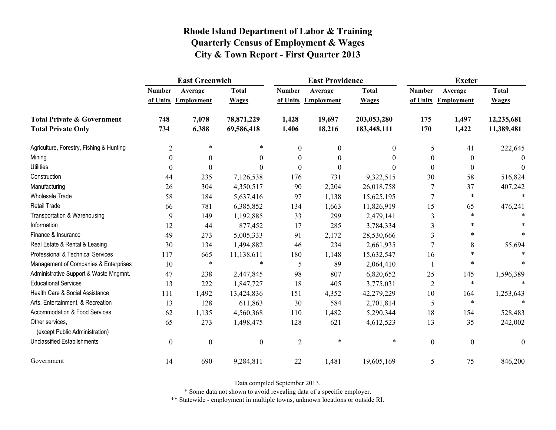|                                                   | <b>East Greenwich</b> |                     |                  |                  | <b>East Providence</b> |              | <b>Exeter</b>    |                     |                  |
|---------------------------------------------------|-----------------------|---------------------|------------------|------------------|------------------------|--------------|------------------|---------------------|------------------|
|                                                   | <b>Number</b>         | Average             | <b>Total</b>     | <b>Number</b>    | Average                | <b>Total</b> | <b>Number</b>    | Average             | <b>Total</b>     |
|                                                   |                       | of Units Employment | <b>Wages</b>     |                  | of Units Employment    | <b>Wages</b> |                  | of Units Employment | <b>Wages</b>     |
| <b>Total Private &amp; Government</b>             | 748                   | 7,078               | 78,871,229       | 1,428            | 19,697                 | 203,053,280  | 175              | 1,497               | 12,235,681       |
| <b>Total Private Only</b>                         | 734                   | 6,388               | 69,586,418       | 1,406            | 18,216                 | 183,448,111  | 170              | 1,422               | 11,389,481       |
| Agriculture, Forestry, Fishing & Hunting          | $\overline{2}$        | $\ast$              | $\ast$           | $\boldsymbol{0}$ | $\theta$               | $\mathbf{0}$ | 5                | 41                  | 222,645          |
| Mining                                            | $\theta$              | $\boldsymbol{0}$    | $\theta$         | $\boldsymbol{0}$ | $\boldsymbol{0}$       | $\theta$     | $\theta$         | $\boldsymbol{0}$    | 0                |
| <b>Utilities</b>                                  | $\Omega$              | $\theta$            | 0                | $\boldsymbol{0}$ | $\theta$               | $\Omega$     | $\theta$         | $\boldsymbol{0}$    | $\Omega$         |
| Construction                                      | 44                    | 235                 | 7,126,538        | 176              | 731                    | 9,322,515    | 30               | 58                  | 516,824          |
| Manufacturing                                     | 26                    | 304                 | 4,350,517        | 90               | 2,204                  | 26,018,758   | 7                | 37                  | 407,242          |
| <b>Wholesale Trade</b>                            | 58                    | 184                 | 5,637,416        | 97               | 1,138                  | 15,625,195   | $\overline{7}$   | $\ast$              | $\ast$           |
| <b>Retail Trade</b>                               | 66                    | 781                 | 6,385,852        | 134              | 1,663                  | 11,826,919   | 15               | 65                  | 476,241          |
| Transportation & Warehousing                      | 9                     | 149                 | 1,192,885        | 33               | 299                    | 2,479,141    | $\mathfrak{Z}$   | $\ast$              |                  |
| Information                                       | 12                    | 44                  | 877,452          | 17               | 285                    | 3,784,334    | $\overline{3}$   | $\ast$              |                  |
| Finance & Insurance                               | 49                    | 273                 | 5,005,333        | 91               | 2,172                  | 28,530,666   | 3                | $\ast$              |                  |
| Real Estate & Rental & Leasing                    | 30                    | 134                 | 1,494,882        | 46               | 234                    | 2,661,935    | 7                | 8                   | 55,694           |
| Professional & Technical Services                 | 117                   | 665                 | 11,138,611       | 180              | 1,148                  | 15,632,547   | 16               | $\ast$              |                  |
| Management of Companies & Enterprises             | 10                    | $\ast$              | $\ast$           | 5                | 89                     | 2,064,410    | -1               | $\ast$              |                  |
| Administrative Support & Waste Mngmnt.            | 47                    | 238                 | 2,447,845        | 98               | 807                    | 6,820,652    | 25               | 145                 | 1,596,389        |
| <b>Educational Services</b>                       | 13                    | 222                 | 1,847,727        | 18               | 405                    | 3,775,031    | $\overline{2}$   | $\ast$              |                  |
| Health Care & Social Assistance                   | 111                   | 1,492               | 13,424,836       | 151              | 4,352                  | 42,279,229   | 10               | 164                 | 1,253,643        |
| Arts, Entertainment, & Recreation                 | 13                    | 128                 | 611,863          | 30               | 584                    | 2,701,814    | 5                | $\ast$              | $\ast$           |
| <b>Accommodation &amp; Food Services</b>          | 62                    | 1,135               | 4,560,368        | 110              | 1,482                  | 5,290,344    | 18               | 154                 | 528,483          |
| Other services,<br>(except Public Administration) | 65                    | 273                 | 1,498,475        | 128              | 621                    | 4,612,523    | 13               | 35                  | 242,002          |
| <b>Unclassified Establishments</b>                | $\boldsymbol{0}$      | $\boldsymbol{0}$    | $\boldsymbol{0}$ | $\overline{2}$   | $\ast$                 | $\ast$       | $\boldsymbol{0}$ | $\boldsymbol{0}$    | $\boldsymbol{0}$ |
| Government                                        | 14                    | 690                 | 9,284,811        | 22               | 1,481                  | 19,605,169   | 5                | 75                  | 846,200          |

Data compiled September 2013.

\* Some data not shown to avoid revealing data of a specific employer.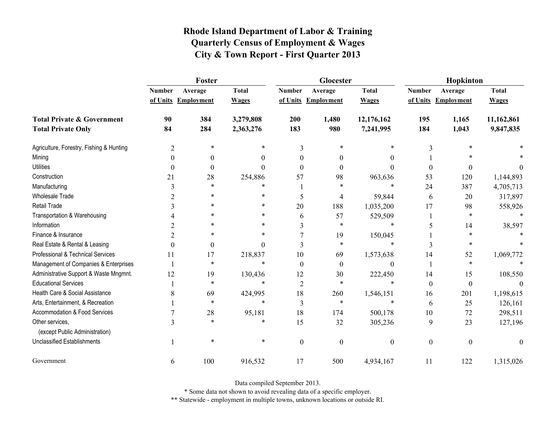|                                                   | Foster         |                     |              |                | Glocester           |                  | Hopkinton        |                     |              |
|---------------------------------------------------|----------------|---------------------|--------------|----------------|---------------------|------------------|------------------|---------------------|--------------|
|                                                   | <b>Number</b>  | Average             | <b>Total</b> | <b>Number</b>  | Average             | <b>Total</b>     | <b>Number</b>    | Average             | <b>Total</b> |
|                                                   |                | of Units Employment | <b>Wages</b> |                | of Units Employment | <b>Wages</b>     |                  | of Units Employment | <b>Wages</b> |
| <b>Total Private &amp; Government</b>             | 90             | 384                 | 3,279,808    | 200            | 1,480               | 12,176,162       | 195              | 1,165               | 11,162,861   |
| <b>Total Private Only</b>                         | 84             | 284                 | 2,363,276    | 183            | 980                 | 7,241,995        | 184              | 1,043               | 9,847,835    |
| Agriculture, Forestry, Fishing & Hunting          | $\overline{2}$ | $\ast$              | $\ast$       | 3              | $\ast$              |                  | 3                | *                   |              |
| Mining                                            |                | 0                   | 0            | 0              | $\Omega$            | 0                |                  |                     |              |
| <b>Utilities</b>                                  | 0              | $\theta$            | 0            | $\Omega$       | $\Omega$            | 0                | $\theta$         | $\theta$            | $^{(1)}$     |
| Construction                                      | 21             | 28                  | 254,886      | 57             | 98                  | 963,636          | 53               | 120                 | 1,144,893    |
| Manufacturing                                     | 3              | $\ast$              | $\ast$       |                | $\ast$              | $\ast$           | 24               | 387                 | 4,705,713    |
| Wholesale Trade                                   |                | *                   | $\ast$       | 5              | 4                   | 59,844           | 6                | 20                  | 317,897      |
| <b>Retail Trade</b>                               |                | $\ast$              | *            | 20             | 188                 | 1,035,200        | 17               | 98                  | 558,926      |
| Transportation & Warehousing                      |                | $\ast$              | $\ast$       | 6              | 57                  | 529,509          |                  | $\ast$              |              |
| Information                                       |                |                     | $\ast$       | 3              | $\ast$              | $\ast$           | 5                | 14                  | 38,597       |
| Finance & Insurance                               | 2              | $\ast$              | $\ast$       |                | 19                  | 150,045          |                  | $\ast$              |              |
| Real Estate & Rental & Leasing                    | $\Omega$       | $\boldsymbol{0}$    | $\theta$     | 3              | $\ast$              | $\ast$           | 3                | *                   |              |
| Professional & Technical Services                 | 11             | 17                  | 218,837      | 10             | 69                  | 1,573,638        | 14               | 52                  | 1,069,772    |
| Management of Companies & Enterprises             |                | $\ast$              | $\ast$       | $\Omega$       | $\theta$            | $\theta$         |                  | $\ast$              |              |
| Administrative Support & Waste Mngmnt.            | 12             | 19                  | 130,436      | 12             | 30                  | 222,450          | 14               | 15                  | 108,550      |
| <b>Educational Services</b>                       |                | $\ast$              | $\ast$       | 2              | $\ast$              | $\ast$           | $\boldsymbol{0}$ | $\boldsymbol{0}$    |              |
| Health Care & Social Assistance                   | 8              | 69                  | 424,995      | 18             | 260                 | 1,546,151        | 16               | 201                 | 1,198,615    |
| Arts, Entertainment, & Recreation                 |                | $\ast$              | $\ast$       | 3              | $\ast$              | $\ast$           | 6                | 25                  | 126,161      |
| Accommodation & Food Services                     |                | 28                  | 95,181       | 18             | 174                 | 500,178          | 10               | 72                  | 298,511      |
| Other services,<br>(except Public Administration) | 3              | $\ast$              | $\ast$       | 15             | 32                  | 305,236          | 9                | 23                  | 127,196      |
| <b>Unclassified Establishments</b>                |                | $\ast$              | *            | $\overline{0}$ | $\boldsymbol{0}$    | $\boldsymbol{0}$ | $\boldsymbol{0}$ | $\boldsymbol{0}$    | $\theta$     |
| Government                                        | 6              | 100                 | 916,532      | 17             | 500                 | 4,934,167        | 11               | 122                 | 1,315,026    |

Data compiled September 2013.

\* Some data not shown to avoid revealing data of a specific employer.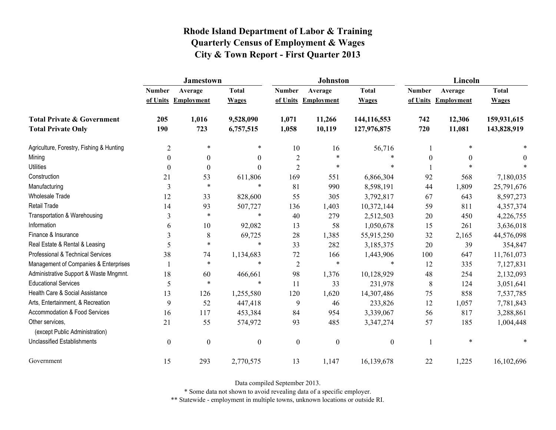|                                                   | <b>Jamestown</b> |                     |                  |                  | Johnston          |                  | Lincoln          |                   |              |
|---------------------------------------------------|------------------|---------------------|------------------|------------------|-------------------|------------------|------------------|-------------------|--------------|
|                                                   | <b>Number</b>    | Average             | <b>Total</b>     | <b>Number</b>    | Average           | <b>Total</b>     | <b>Number</b>    | Average           | <b>Total</b> |
|                                                   |                  | of Units Employment | <b>Wages</b>     | of Units         | <b>Employment</b> | <b>Wages</b>     | of Units         | <b>Employment</b> | <b>Wages</b> |
| <b>Total Private &amp; Government</b>             | 205              | 1,016               | 9,528,090        | 1,071            | 11,266            | 144,116,553      | 742              | 12,306            | 159,931,615  |
| <b>Total Private Only</b>                         | 190              | 723                 | 6,757,515        | 1,058            | 10,119            | 127,976,875      | 720              | 11,081            | 143,828,919  |
| Agriculture, Forestry, Fishing & Hunting          | $\overline{c}$   | $\ast$              | $\ast$           | 10               | 16                | 56,716           |                  |                   |              |
| Mining                                            | $\theta$         | $\boldsymbol{0}$    | $\theta$         | $\overline{2}$   | $\ast$            | $\ast$           | $\boldsymbol{0}$ | $\theta$          | 0            |
| <b>Utilities</b>                                  | $\theta$         | $\theta$            | $\Omega$         | $\overline{2}$   | $\ast$            | $\ast$           |                  |                   |              |
| Construction                                      | 21               | 53                  | 611,806          | 169              | 551               | 6,866,304        | 92               | 568               | 7,180,035    |
| Manufacturing                                     | 3                | $\ast$              | $\ast$           | 81               | 990               | 8,598,191        | 44               | 1,809             | 25,791,676   |
| <b>Wholesale Trade</b>                            | 12               | 33                  | 828,600          | 55               | 305               | 3,792,817        | 67               | 643               | 8,597,273    |
| Retail Trade                                      | 14               | 93                  | 507,727          | 136              | 1,403             | 10,372,144       | 59               | 811               | 4,357,374    |
| Transportation & Warehousing                      | 3                | $\ast$              | $\ast$           | 40               | 279               | 2,512,503        | 20               | 450               | 4,226,755    |
| Information                                       | 6                | 10                  | 92,082           | 13               | 58                | 1,050,678        | 15               | 261               | 3,636,018    |
| Finance & Insurance                               | 3                | $\,$ 8 $\,$         | 69,725           | 28               | 1,385             | 55,915,250       | 32               | 2,165             | 44,576,098   |
| Real Estate & Rental & Leasing                    | 5                | $\ast$              | *                | 33               | 282               | 3,185,375        | 20               | 39                | 354,847      |
| Professional & Technical Services                 | 38               | 74                  | 1,134,683        | 72               | 166               | 1,443,906        | 100              | 647               | 11,761,073   |
| Management of Companies & Enterprises             |                  | $\ast$              | $\ast$           | $\sqrt{2}$       | $\ast$            | $\ast$           | 12               | 335               | 7,127,831    |
| Administrative Support & Waste Mngmnt.            | 18               | 60                  | 466,661          | 98               | 1,376             | 10,128,929       | 48               | 254               | 2,132,093    |
| <b>Educational Services</b>                       | 5                | $\ast$              | $\ast$           | 11               | 33                | 231,978          | 8                | 124               | 3,051,641    |
| Health Care & Social Assistance                   | 13               | 126                 | 1,255,580        | 120              | 1,620             | 14,307,486       | 75               | 858               | 7,537,785    |
| Arts, Entertainment, & Recreation                 | 9                | 52                  | 447,418          | 9                | 46                | 233,826          | 12               | 1,057             | 7,781,843    |
| <b>Accommodation &amp; Food Services</b>          | 16               | 117                 | 453,384          | 84               | 954               | 3,339,067        | 56               | 817               | 3,288,861    |
| Other services,<br>(except Public Administration) | 21               | 55                  | 574,972          | 93               | 485               | 3,347,274        | 57               | 185               | 1,004,448    |
| <b>Unclassified Establishments</b>                | $\boldsymbol{0}$ | $\boldsymbol{0}$    | $\boldsymbol{0}$ | $\boldsymbol{0}$ | $\boldsymbol{0}$  | $\boldsymbol{0}$ |                  | $\ast$            |              |
| Government                                        | 15               | 293                 | 2,770,575        | 13               | 1,147             | 16,139,678       | 22               | 1,225             | 16,102,696   |

Data compiled September 2013.

\* Some data not shown to avoid revealing data of a specific employer.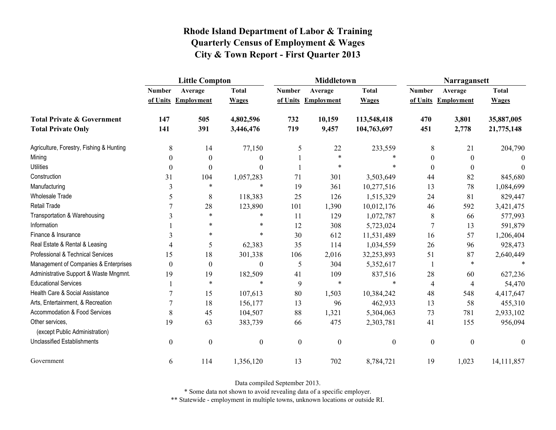|                                                   | <b>Little Compton</b> |                     |                  |                  | <b>Middletown</b>   |                  | Narragansett     |                     |                  |
|---------------------------------------------------|-----------------------|---------------------|------------------|------------------|---------------------|------------------|------------------|---------------------|------------------|
|                                                   | <b>Number</b>         | Average             | <b>Total</b>     | <b>Number</b>    | Average             | <b>Total</b>     | <b>Number</b>    | Average             | <b>Total</b>     |
|                                                   |                       | of Units Employment | <b>Wages</b>     |                  | of Units Employment | <b>Wages</b>     |                  | of Units Employment | <b>Wages</b>     |
| <b>Total Private &amp; Government</b>             | 147                   | 505                 | 4,802,596        | 732              | 10,159              | 113,548,418      | 470              | 3,801               | 35,887,005       |
| <b>Total Private Only</b>                         | 141                   | 391                 | 3,446,476        | 719              | 9,457               | 104,763,697      | 451              | 2,778               | 21,775,148       |
| Agriculture, Forestry, Fishing & Hunting          | $\,8\,$               | 14                  | 77,150           | 5                | 22                  | 233,559          | 8                | 21                  | 204,790          |
| Mining                                            | $\theta$              | $\boldsymbol{0}$    | 0                |                  | $\ast$              |                  | $\theta$         | $\mathbf{0}$        | $\Omega$         |
| <b>Utilities</b>                                  | $\theta$              | $\boldsymbol{0}$    | $\theta$         |                  | $\ast$              |                  | $\theta$         | $\boldsymbol{0}$    | $\Omega$         |
| Construction                                      | 31                    | 104                 | 1,057,283        | 71               | 301                 | 3,503,649        | 44               | 82                  | 845,680          |
| Manufacturing                                     | 3                     | $\ast$              | $\ast$           | 19               | 361                 | 10,277,516       | 13               | 78                  | 1,084,699        |
| <b>Wholesale Trade</b>                            | 5                     | $\,$ 8 $\,$         | 118,383          | 25               | 126                 | 1,515,329        | 24               | 81                  | 829,447          |
| <b>Retail Trade</b>                               |                       | 28                  | 123,890          | 101              | 1,390               | 10,012,176       | 46               | 592                 | 3,421,475        |
| Transportation & Warehousing                      | 3                     | $\ast$              | $\ast$           | 11               | 129                 | 1,072,787        | 8                | 66                  | 577,993          |
| Information                                       |                       | $\ast$              | $\ast$           | 12               | 308                 | 5,723,024        | 7                | 13                  | 591,879          |
| Finance & Insurance                               | 3                     | $\ast$              | *                | 30               | 612                 | 11,531,489       | 16               | 57                  | 1,206,404        |
| Real Estate & Rental & Leasing                    | 4                     | 5                   | 62,383           | 35               | 114                 | 1,034,559        | 26               | 96                  | 928,473          |
| Professional & Technical Services                 | 15                    | 18                  | 301,338          | 106              | 2,016               | 32,253,893       | 51               | 87                  | 2,640,449        |
| Management of Companies & Enterprises             | $\theta$              | $\boldsymbol{0}$    | $\theta$         | 5                | 304                 | 5,352,617        |                  | $\ast$              | $\ast$           |
| Administrative Support & Waste Mngmnt.            | 19                    | 19                  | 182,509          | 41               | 109                 | 837,516          | 28               | 60                  | 627,236          |
| <b>Educational Services</b>                       |                       | $\ast$              | $\ast$           | 9                | $\ast$              | $\ast$           | $\overline{4}$   | $\overline{4}$      | 54,470           |
| Health Care & Social Assistance                   |                       | 15                  | 107,613          | 80               | 1,503               | 10,384,242       | 48               | 548                 | 4,417,647        |
| Arts, Entertainment, & Recreation                 | 7                     | 18                  | 156,177          | 13               | 96                  | 462,933          | 13               | 58                  | 455,310          |
| Accommodation & Food Services                     | 8                     | 45                  | 104,507          | 88               | 1,321               | 5,304,063        | 73               | 781                 | 2,933,102        |
| Other services,<br>(except Public Administration) | 19                    | 63                  | 383,739          | 66               | 475                 | 2,303,781        | 41               | 155                 | 956,094          |
| <b>Unclassified Establishments</b>                | $\boldsymbol{0}$      | $\boldsymbol{0}$    | $\boldsymbol{0}$ | $\boldsymbol{0}$ | $\boldsymbol{0}$    | $\boldsymbol{0}$ | $\boldsymbol{0}$ | $\boldsymbol{0}$    | $\boldsymbol{0}$ |
| Government                                        | 6                     | 114                 | 1,356,120        | 13               | 702                 | 8,784,721        | 19               | 1,023               | 14, 111, 857     |

Data compiled September 2013.

\* Some data not shown to avoid revealing data of a specific employer.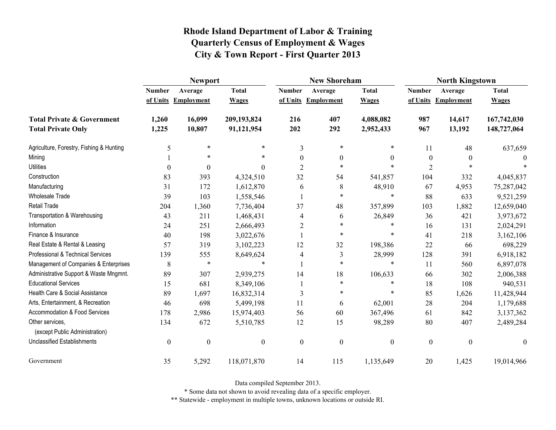|                                                   | <b>Newport</b>   |                     |                  |                | <b>New Shoreham</b> |                  | <b>North Kingstown</b> |                   |                  |
|---------------------------------------------------|------------------|---------------------|------------------|----------------|---------------------|------------------|------------------------|-------------------|------------------|
|                                                   | <b>Number</b>    | Average             | <b>Total</b>     | <b>Number</b>  | Average             | <b>Total</b>     | <b>Number</b>          | Average           | <b>Total</b>     |
|                                                   |                  | of Units Employment | <b>Wages</b>     | of Units       | Employment          | <b>Wages</b>     | of Units               | <b>Employment</b> | <b>Wages</b>     |
| <b>Total Private &amp; Government</b>             | 1,260            | 16,099              | 209,193,824      | 216            | 407                 | 4,088,082        | 987                    | 14,617            | 167,742,030      |
| <b>Total Private Only</b>                         | 1,225            | 10,807              | 91,121,954       | 202            | 292                 | 2,952,433        | 967                    | 13,192            | 148,727,064      |
| Agriculture, Forestry, Fishing & Hunting          | 5                | $\ast$              | $\ast$           | 3              | $\ast$              | *                | 11                     | 48                | 637,659          |
| Mining                                            |                  | $\ast$              | $\ast$           | $\theta$       | $\theta$            | $\theta$         | $\boldsymbol{0}$       | $\theta$          |                  |
| <b>Utilities</b>                                  | $\theta$         | $\boldsymbol{0}$    | $\theta$         | $\overline{2}$ | $\ast$              | $\ast$           | $\overline{2}$         |                   |                  |
| Construction                                      | 83               | 393                 | 4,324,510        | 32             | 54                  | 541,857          | 104                    | 332               | 4,045,837        |
| Manufacturing                                     | 31               | 172                 | 1,612,870        | 6              | 8                   | 48,910           | 67                     | 4,953             | 75,287,042       |
| Wholesale Trade                                   | 39               | 103                 | 1,558,546        |                | $\ast$              | $\ast$           | 88                     | 633               | 9,521,259        |
| Retail Trade                                      | 204              | 1,360               | 7,736,404        | 37             | 48                  | 357,899          | 103                    | 1,882             | 12,659,040       |
| Transportation & Warehousing                      | 43               | 211                 | 1,468,431        | 4              | 6                   | 26,849           | 36                     | 421               | 3,973,672        |
| Information                                       | 24               | 251                 | 2,666,493        | $\overline{2}$ | $\ast$              | $\ast$           | 16                     | 131               | 2,024,291        |
| Finance & Insurance                               | 40               | 198                 | 3,022,676        |                | $\ast$              | $\ast$           | 41                     | 218               | 3,162,106        |
| Real Estate & Rental & Leasing                    | 57               | 319                 | 3,102,223        | 12             | 32                  | 198,386          | 22                     | 66                | 698,229          |
| Professional & Technical Services                 | 139              | 555                 | 8,649,624        | 4              | 3                   | 28,999           | 128                    | 391               | 6,918,182        |
| Management of Companies & Enterprises             | 8                | $\ast$              | $\ast$           |                | $\ast$              | $\ast$           | 11                     | 560               | 6,897,078        |
| Administrative Support & Waste Mngmnt.            | 89               | 307                 | 2,939,275        | 14             | 18                  | 106,633          | 66                     | 302               | 2,006,388        |
| <b>Educational Services</b>                       | 15               | 681                 | 8,349,106        |                | $\ast$              | $\ast$           | 18                     | 108               | 940,531          |
| Health Care & Social Assistance                   | 89               | 1,697               | 16,832,314       | 3              | $\ast$              | *                | 85                     | 1,626             | 11,428,944       |
| Arts, Entertainment, & Recreation                 | 46               | 698                 | 5,499,198        | 11             | 6                   | 62,001           | 28                     | 204               | 1,179,688        |
| Accommodation & Food Services                     | 178              | 2,986               | 15,974,403       | 56             | 60                  | 367,496          | 61                     | 842               | 3,137,362        |
| Other services,<br>(except Public Administration) | 134              | 672                 | 5,510,785        | 12             | 15                  | 98,289           | 80                     | 407               | 2,489,284        |
| <b>Unclassified Establishments</b>                | $\boldsymbol{0}$ | $\boldsymbol{0}$    | $\boldsymbol{0}$ | $\mathbf{0}$   | $\boldsymbol{0}$    | $\boldsymbol{0}$ | $\boldsymbol{0}$       | $\boldsymbol{0}$  | $\boldsymbol{0}$ |
| Government                                        | 35               | 5,292               | 118,071,870      | 14             | 115                 | 1,135,649        | 20                     | 1,425             | 19,014,966       |

Data compiled September 2013.

\* Some data not shown to avoid revealing data of a specific employer.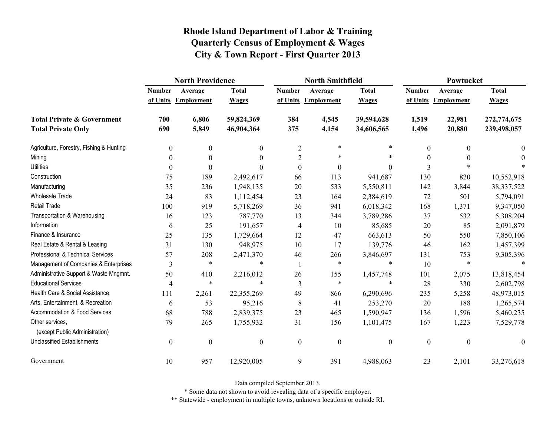|                                                   | <b>North Providence</b> |                     |                  |                  | <b>North Smithfield</b> |                  | Pawtucket        |                     |                  |  |
|---------------------------------------------------|-------------------------|---------------------|------------------|------------------|-------------------------|------------------|------------------|---------------------|------------------|--|
|                                                   | <b>Number</b>           | Average             | <b>Total</b>     | <b>Number</b>    | Average                 | <b>Total</b>     | <b>Number</b>    | Average             | <b>Total</b>     |  |
|                                                   |                         | of Units Employment | <b>Wages</b>     |                  | of Units Employment     | <b>Wages</b>     |                  | of Units Employment | <b>Wages</b>     |  |
| <b>Total Private &amp; Government</b>             | 700                     | 6,806               | 59,824,369       | 384              | 4,545                   | 39,594,628       | 1,519            | 22,981              | 272,774,675      |  |
| <b>Total Private Only</b>                         | 690                     | 5,849               | 46,904,364       | 375              | 4,154                   | 34,606,565       | 1,496            | 20,880              | 239,498,057      |  |
| Agriculture, Forestry, Fishing & Hunting          | $\boldsymbol{0}$        | $\boldsymbol{0}$    | $\boldsymbol{0}$ | $\overline{2}$   | $\ast$                  | *                | $\boldsymbol{0}$ | $\Omega$            | 0                |  |
| Mining                                            | $\theta$                | $\boldsymbol{0}$    | $\theta$         | $\overline{c}$   | $\ast$                  | $\ast$           | $\boldsymbol{0}$ |                     | $\theta$         |  |
| <b>Utilities</b>                                  | $\theta$                | $\theta$            | $\Omega$         | $\theta$         | $\boldsymbol{0}$        | $\overline{0}$   | 3                |                     |                  |  |
| Construction                                      | 75                      | 189                 | 2,492,617        | 66               | 113                     | 941,687          | 130              | 820                 | 10,552,918       |  |
| Manufacturing                                     | 35                      | 236                 | 1,948,135        | 20               | 533                     | 5,550,811        | 142              | 3,844               | 38, 337, 522     |  |
| <b>Wholesale Trade</b>                            | 24                      | 83                  | 1,112,454        | 23               | 164                     | 2,384,619        | 72               | 501                 | 5,794,091        |  |
| <b>Retail Trade</b>                               | 100                     | 919                 | 5,718,269        | 36               | 941                     | 6,018,342        | 168              | 1,371               | 9,347,050        |  |
| Transportation & Warehousing                      | 16                      | 123                 | 787,770          | 13               | 344                     | 3,789,286        | 37               | 532                 | 5,308,204        |  |
| Information                                       | 6                       | 25                  | 191,657          | 4                | 10                      | 85,685           | 20               | 85                  | 2,091,879        |  |
| Finance & Insurance                               | 25                      | 135                 | 1,729,664        | 12               | 47                      | 663,613          | 50               | 550                 | 7,850,106        |  |
| Real Estate & Rental & Leasing                    | 31                      | 130                 | 948,975          | 10               | 17                      | 139,776          | 46               | 162                 | 1,457,399        |  |
| Professional & Technical Services                 | 57                      | 208                 | 2,471,370        | 46               | 266                     | 3,846,697        | 131              | 753                 | 9,305,396        |  |
| Management of Companies & Enterprises             | 3                       | $\ast$              | $\ast$           | -1               | $\ast$                  | $\ast$           | 10               | $\ast$              | $\ast$           |  |
| Administrative Support & Waste Mngmnt.            | 50                      | 410                 | 2,216,012        | 26               | 155                     | 1,457,748        | 101              | 2,075               | 13,818,454       |  |
| <b>Educational Services</b>                       | 4                       | $\ast$              | $\ast$           | 3                | $\ast$                  | $\ast$           | 28               | 330                 | 2,602,798        |  |
| Health Care & Social Assistance                   | 111                     | 2,261               | 22,355,269       | 49               | 866                     | 6,290,696        | 235              | 5,258               | 48,973,015       |  |
| Arts, Entertainment, & Recreation                 | 6                       | 53                  | 95,216           | 8                | 41                      | 253,270          | 20               | 188                 | 1,265,574        |  |
| <b>Accommodation &amp; Food Services</b>          | 68                      | 788                 | 2,839,375        | 23               | 465                     | 1,590,947        | 136              | 1,596               | 5,460,235        |  |
| Other services,<br>(except Public Administration) | 79                      | 265                 | 1,755,932        | 31               | 156                     | 1,101,475        | 167              | 1,223               | 7,529,778        |  |
| <b>Unclassified Establishments</b>                | $\boldsymbol{0}$        | $\boldsymbol{0}$    | $\boldsymbol{0}$ | $\boldsymbol{0}$ | $\boldsymbol{0}$        | $\boldsymbol{0}$ | $\boldsymbol{0}$ | $\mathbf{0}$        | $\boldsymbol{0}$ |  |
| Government                                        | 10                      | 957                 | 12,920,005       | 9                | 391                     | 4,988,063        | 23               | 2,101               | 33,276,618       |  |

Data compiled September 2013.

\* Some data not shown to avoid revealing data of a specific employer.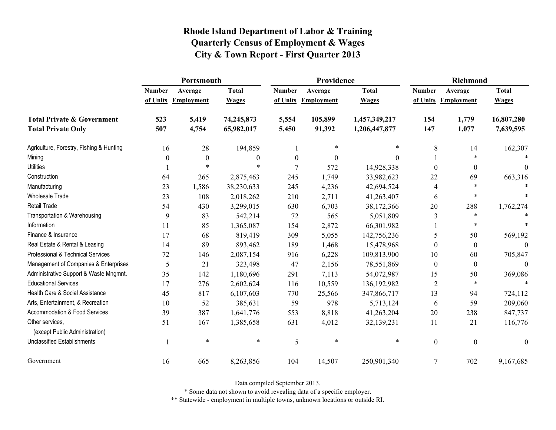|                                                   | Portsmouth    |                     |                  |                  | Providence          |               | <b>Richmond</b>  |                     |                  |
|---------------------------------------------------|---------------|---------------------|------------------|------------------|---------------------|---------------|------------------|---------------------|------------------|
|                                                   | <b>Number</b> | Average             | <b>Total</b>     | <b>Number</b>    | Average             | <b>Total</b>  | <b>Number</b>    | Average             | <b>Total</b>     |
|                                                   |               | of Units Employment | <b>Wages</b>     |                  | of Units Employment | <b>Wages</b>  |                  | of Units Employment | <b>Wages</b>     |
| <b>Total Private &amp; Government</b>             | 523           | 5,419               | 74,245,873       | 5,554            | 105,899             | 1,457,349,217 | 154              | 1,779               | 16,807,280       |
| <b>Total Private Only</b>                         | 507           | 4,754               | 65,982,017       | 5,450            | 91,392              | 1,206,447,877 | 147              | 1,077               | 7,639,595        |
| Agriculture, Forestry, Fishing & Hunting          | 16            | 28                  | 194,859          |                  | $\ast$              | $\ast$        | 8                | 14                  | 162,307          |
| Mining                                            | 0             | $\mathbf{0}$        | $\boldsymbol{0}$ | $\boldsymbol{0}$ | $\mathbf{0}$        | $\Omega$      |                  | $\ast$              |                  |
| <b>Utilities</b>                                  |               | $\ast$              | $\ast$           | 7                | 572                 | 14,928,338    | $\theta$         | $\boldsymbol{0}$    | $\theta$         |
| Construction                                      | 64            | 265                 | 2,875,463        | 245              | 1,749               | 33,982,623    | 22               | 69                  | 663,316          |
| Manufacturing                                     | 23            | 1,586               | 38,230,633       | 245              | 4,236               | 42,694,524    | $\overline{4}$   | $\ast$              |                  |
| Wholesale Trade                                   | 23            | 108                 | 2,018,262        | 210              | 2,711               | 41,263,407    | 6                | *                   |                  |
| <b>Retail Trade</b>                               | 54            | 430                 | 3,299,015        | 630              | 6,703               | 38,172,366    | 20               | 288                 | 1,762,274        |
| Transportation & Warehousing                      | 9             | 83                  | 542,214          | 72               | 565                 | 5,051,809     | 3                | $\ast$              |                  |
| Information                                       | 11            | 85                  | 1,365,087        | 154              | 2,872               | 66,301,982    |                  | *                   |                  |
| Finance & Insurance                               | 17            | 68                  | 819,419          | 309              | 5,055               | 142,756,236   | 5                | 50                  | 569,192          |
| Real Estate & Rental & Leasing                    | 14            | 89                  | 893,462          | 189              | 1,468               | 15,478,968    | $\theta$         | $\boldsymbol{0}$    | $\Omega$         |
| Professional & Technical Services                 | 72            | 146                 | 2,087,154        | 916              | 6,228               | 109,813,900   | 10               | 60                  | 705,847          |
| Management of Companies & Enterprises             | 5             | 21                  | 323,498          | 47               | 2,156               | 78,551,869    | $\theta$         | $\boldsymbol{0}$    | $\theta$         |
| Administrative Support & Waste Mngmnt.            | 35            | 142                 | 1,180,696        | 291              | 7,113               | 54,072,987    | 15               | 50                  | 369,086          |
| <b>Educational Services</b>                       | 17            | 276                 | 2,602,624        | 116              | 10,559              | 136, 192, 982 | 2                | $\ast$              | $\ast$           |
| Health Care & Social Assistance                   | 45            | 817                 | 6,107,603        | 770              | 25,566              | 347,866,717   | 13               | 94                  | 724,112          |
| Arts, Entertainment, & Recreation                 | 10            | 52                  | 385,631          | 59               | 978                 | 5,713,124     | 6                | 59                  | 209,060          |
| <b>Accommodation &amp; Food Services</b>          | 39            | 387                 | 1,641,776        | 553              | 8,818               | 41,263,204    | 20               | 238                 | 847,737          |
| Other services,<br>(except Public Administration) | 51            | 167                 | 1,385,658        | 631              | 4,012               | 32,139,231    | 11               | 21                  | 116,776          |
| <b>Unclassified Establishments</b>                |               | $\ast$              | $\ast$           | 5                | $\ast$              | $\ast$        | $\boldsymbol{0}$ | $\mathbf{0}$        | $\boldsymbol{0}$ |
| Government                                        | 16            | 665                 | 8,263,856        | 104              | 14,507              | 250,901,340   | $\overline{7}$   | 702                 | 9,167,685        |

Data compiled September 2013.

\* Some data not shown to avoid revealing data of a specific employer.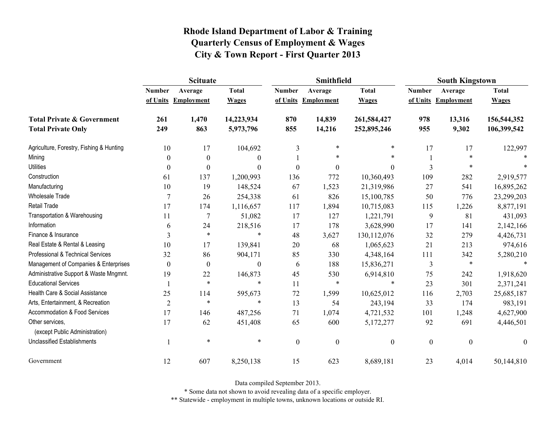|                                                   | <b>Scituate</b> |                     |                  |                  | <b>Smithfield</b> |                  | <b>South Kingstown</b> |                     |                  |
|---------------------------------------------------|-----------------|---------------------|------------------|------------------|-------------------|------------------|------------------------|---------------------|------------------|
|                                                   | <b>Number</b>   | Average             | <b>Total</b>     | <b>Number</b>    | Average           | <b>Total</b>     | <b>Number</b>          | Average             | <b>Total</b>     |
|                                                   |                 | of Units Employment | <b>Wages</b>     | of Units         | <b>Employment</b> | <b>Wages</b>     |                        | of Units Employment | <b>Wages</b>     |
| <b>Total Private &amp; Government</b>             | 261             | 1,470               | 14,223,934       | 870              | 14,839            | 261,584,427      | 978                    | 13,316              | 156,544,352      |
| <b>Total Private Only</b>                         | 249             | 863                 | 5,973,796        | 855              | 14,216            | 252,895,246      | 955                    | 9,302               | 106,399,542      |
| Agriculture, Forestry, Fishing & Hunting          | 10              | 17                  | 104,692          | 3                | $\ast$            | $\ast$           | 17                     | 17                  | 122,997          |
| Mining                                            | 0               | $\boldsymbol{0}$    | $\boldsymbol{0}$ |                  | $\ast$            | $\ast$           |                        | $\ast$              |                  |
| <b>Utilities</b>                                  | $\theta$        | $\theta$            | $\theta$         | $\theta$         | $\theta$          | $\theta$         | 3                      | *                   |                  |
| Construction                                      | 61              | 137                 | 1,200,993        | 136              | 772               | 10,360,493       | 109                    | 282                 | 2,919,577        |
| Manufacturing                                     | 10              | 19                  | 148,524          | 67               | 1,523             | 21,319,986       | 27                     | 541                 | 16,895,262       |
| <b>Wholesale Trade</b>                            | 7               | 26                  | 254,338          | 61               | 826               | 15,100,785       | 50                     | 776                 | 23,299,203       |
| Retail Trade                                      | 17              | 174                 | 1,116,657        | 117              | 1,894             | 10,715,083       | 115                    | 1,226               | 8,877,191        |
| Transportation & Warehousing                      | 11              | $\tau$              | 51,082           | 17               | 127               | 1,221,791        | 9                      | 81                  | 431,093          |
| Information                                       | 6               | 24                  | 218,516          | 17               | 178               | 3,628,990        | 17                     | 141                 | 2,142,166        |
| Finance & Insurance                               | 3               | $\ast$              | $\ast$           | 48               | 3,627             | 130,112,076      | 32                     | 279                 | 4,426,731        |
| Real Estate & Rental & Leasing                    | 10              | 17                  | 139,841          | 20               | 68                | 1,065,623        | 21                     | 213                 | 974,616          |
| Professional & Technical Services                 | 32              | 86                  | 904,171          | 85               | 330               | 4,348,164        | 111                    | 342                 | 5,280,210        |
| Management of Companies & Enterprises             | $\theta$        | $\boldsymbol{0}$    | $\boldsymbol{0}$ | 6                | 188               | 15,836,271       | 3                      | $\ast$              | $\ast$           |
| Administrative Support & Waste Mngmnt.            | 19              | 22                  | 146,873          | 45               | 530               | 6,914,810        | 75                     | 242                 | 1,918,620        |
| <b>Educational Services</b>                       |                 | $\ast$              | $\ast$           | 11               | $\ast$            | $\ast$           | 23                     | 301                 | 2,371,241        |
| Health Care & Social Assistance                   | 25              | 114                 | 595,673          | 72               | 1,599             | 10,625,012       | 116                    | 2,703               | 25,685,187       |
| Arts, Entertainment, & Recreation                 | $\overline{2}$  | $\ast$              | $\ast$           | 13               | 54                | 243,194          | 33                     | 174                 | 983,191          |
| <b>Accommodation &amp; Food Services</b>          | 17              | 146                 | 487,256          | 71               | 1,074             | 4,721,532        | 101                    | 1,248               | 4,627,900        |
| Other services,<br>(except Public Administration) | 17              | 62                  | 451,408          | 65               | 600               | 5,172,277        | 92                     | 691                 | 4,446,501        |
| <b>Unclassified Establishments</b>                |                 | $\ast$              | $\ast$           | $\boldsymbol{0}$ | $\boldsymbol{0}$  | $\boldsymbol{0}$ | $\boldsymbol{0}$       | $\mathbf{0}$        | $\boldsymbol{0}$ |
| Government                                        | 12              | 607                 | 8,250,138        | 15               | 623               | 8,689,181        | 23                     | 4,014               | 50,144,810       |

Data compiled September 2013.

\* Some data not shown to avoid revealing data of a specific employer.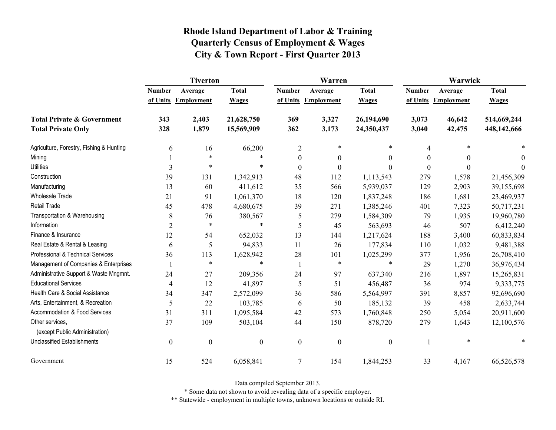|                                                   | <b>Tiverton</b>  |                     |                  |                  | Warren              |                  | Warwick          |                     |              |
|---------------------------------------------------|------------------|---------------------|------------------|------------------|---------------------|------------------|------------------|---------------------|--------------|
|                                                   | <b>Number</b>    | Average             | <b>Total</b>     | <b>Number</b>    | Average             | <b>Total</b>     | <b>Number</b>    | Average             | <b>Total</b> |
|                                                   |                  | of Units Employment | <b>Wages</b>     |                  | of Units Employment | <b>Wages</b>     |                  | of Units Employment | <b>Wages</b> |
| <b>Total Private &amp; Government</b>             | 343              | 2,403               | 21,628,750       | 369              | 3,327               | 26,194,690       | 3,073            | 46,642              | 514,669,244  |
| <b>Total Private Only</b>                         | 328              | 1,879               | 15,569,909       | 362              | 3,173               | 24,350,437       | 3,040            | 42,475              | 448,142,666  |
| Agriculture, Forestry, Fishing & Hunting          | 6                | 16                  | 66,200           | $\overline{2}$   | $\ast$              | *                | 4                |                     |              |
| Mining                                            |                  | $\ast$              | $\ast$           | $\boldsymbol{0}$ | $\theta$            | $\theta$         | $\theta$         | 0                   | 0            |
| <b>Utilities</b>                                  | 3                | $\ast$              | $\ast$           | $\boldsymbol{0}$ | $\boldsymbol{0}$    | $\theta$         | $\boldsymbol{0}$ | 0                   | 0            |
| Construction                                      | 39               | 131                 | 1,342,913        | 48               | 112                 | 1,113,543        | 279              | 1,578               | 21,456,309   |
| Manufacturing                                     | 13               | 60                  | 411,612          | 35               | 566                 | 5,939,037        | 129              | 2,903               | 39,155,698   |
| <b>Wholesale Trade</b>                            | 21               | 91                  | 1,061,370        | 18               | 120                 | 1,837,248        | 186              | 1,681               | 23,469,937   |
| <b>Retail Trade</b>                               | 45               | 478                 | 4,680,675        | 39               | 271                 | 1,385,246        | 401              | 7,323               | 50,717,231   |
| Transportation & Warehousing                      | 8                | 76                  | 380,567          | 5                | 279                 | 1,584,309        | 79               | 1,935               | 19,960,780   |
| Information                                       | $\overline{2}$   | $\ast$              | $\ast$           | 5                | 45                  | 563,693          | 46               | 507                 | 6,412,240    |
| Finance & Insurance                               | 12               | 54                  | 652,032          | 13               | 144                 | 1,217,624        | 188              | 3,400               | 60,833,834   |
| Real Estate & Rental & Leasing                    | 6                | 5                   | 94,833           | 11               | 26                  | 177,834          | 110              | 1,032               | 9,481,388    |
| Professional & Technical Services                 | 36               | 113                 | 1,628,942        | 28               | 101                 | 1,025,299        | 377              | 1,956               | 26,708,410   |
| Management of Companies & Enterprises             |                  | $\ast$              | $\ast$           | $\mathbf{1}$     | $\ast$              | $\ast$           | 29               | 1,270               | 36,976,434   |
| Administrative Support & Waste Mngmnt.            | 24               | 27                  | 209,356          | 24               | 97                  | 637,340          | 216              | 1,897               | 15,265,831   |
| <b>Educational Services</b>                       | 4                | 12                  | 41,897           | 5                | 51                  | 456,487          | 36               | 974                 | 9,333,775    |
| Health Care & Social Assistance                   | 34               | 347                 | 2,572,099        | 36               | 586                 | 5,564,997        | 391              | 8,857               | 92,696,690   |
| Arts, Entertainment, & Recreation                 | 5                | 22                  | 103,785          | 6                | 50                  | 185,132          | 39               | 458                 | 2,633,744    |
| Accommodation & Food Services                     | 31               | 311                 | 1,095,584        | 42               | 573                 | 1,760,848        | 250              | 5,054               | 20,911,600   |
| Other services,<br>(except Public Administration) | 37               | 109                 | 503,104          | 44               | 150                 | 878,720          | 279              | 1,643               | 12,100,576   |
| <b>Unclassified Establishments</b>                | $\boldsymbol{0}$ | $\boldsymbol{0}$    | $\boldsymbol{0}$ | $\boldsymbol{0}$ | $\boldsymbol{0}$    | $\boldsymbol{0}$ |                  | $\ast$              |              |
| Government                                        | 15               | 524                 | 6,058,841        | $\overline{7}$   | 154                 | 1,844,253        | 33               | 4,167               | 66,526,578   |

Data compiled September 2013.

\* Some data not shown to avoid revealing data of a specific employer.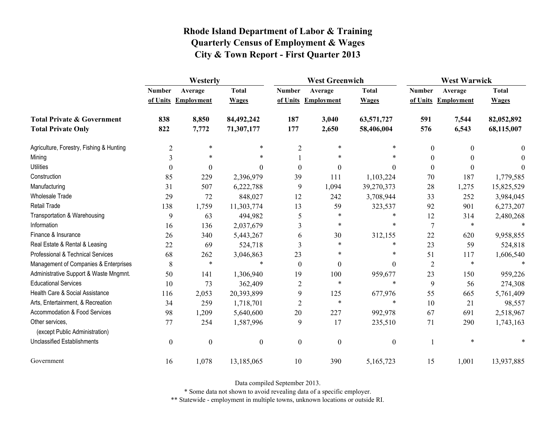|                                                   | Westerly         |                     |                  |                  | <b>West Greenwich</b> |                  |                | <b>West Warwick</b> |              |  |
|---------------------------------------------------|------------------|---------------------|------------------|------------------|-----------------------|------------------|----------------|---------------------|--------------|--|
|                                                   | <b>Number</b>    | Average             | <b>Total</b>     | <b>Number</b>    | Average               | <b>Total</b>     | <b>Number</b>  | Average             | <b>Total</b> |  |
|                                                   |                  | of Units Employment | <b>Wages</b>     |                  | of Units Employment   | <b>Wages</b>     |                | of Units Employment | <b>Wages</b> |  |
| <b>Total Private &amp; Government</b>             | 838              | 8,850               | 84,492,242       | 187              | 3,040                 | 63,571,727       | 591            | 7,544               | 82,052,892   |  |
| <b>Total Private Only</b>                         | 822              | 7,772               | 71,307,177       | 177              | 2,650                 | 58,406,004       | 576            | 6,543               | 68,115,007   |  |
| Agriculture, Forestry, Fishing & Hunting          | $\overline{2}$   | $\ast$              | $\ast$           | $\overline{2}$   | $\ast$                | $\ast$           | $\mathbf{0}$   | $\theta$            | 0            |  |
| Mining                                            | 3                | $\ast$              | $\ast$           |                  | $\ast$                |                  | $\theta$       | $\theta$            | 0            |  |
| <b>Utilities</b>                                  | $\theta$         | $\boldsymbol{0}$    | $\theta$         | $\boldsymbol{0}$ | $\boldsymbol{0}$      | $\theta$         | $\mathbf{0}$   | $\boldsymbol{0}$    | 0            |  |
| Construction                                      | 85               | 229                 | 2,396,979        | 39               | 111                   | 1,103,224        | 70             | 187                 | 1,779,585    |  |
| Manufacturing                                     | 31               | 507                 | 6,222,788        | 9                | 1,094                 | 39,270,373       | 28             | 1,275               | 15,825,529   |  |
| Wholesale Trade                                   | 29               | 72                  | 848,027          | 12               | 242                   | 3,708,944        | 33             | 252                 | 3,984,045    |  |
| Retail Trade                                      | 138              | 1,759               | 11,303,774       | 13               | 59                    | 323,537          | 92             | 901                 | 6,273,207    |  |
| Transportation & Warehousing                      | 9                | 63                  | 494,982          | 5                | *                     | $\ast$           | 12             | 314                 | 2,480,268    |  |
| Information                                       | 16               | 136                 | 2,037,679        | 3                | $\ast$                | $\ast$           | 7              | $\ast$              |              |  |
| Finance & Insurance                               | 26               | 340                 | 5,443,267        | 6                | 30                    | 312,155          | 22             | 620                 | 9,958,855    |  |
| Real Estate & Rental & Leasing                    | 22               | 69                  | 524,718          | 3                | *                     | $\ast$           | 23             | 59                  | 524,818      |  |
| Professional & Technical Services                 | 68               | 262                 | 3,046,863        | 23               | $\ast$                | $\ast$           | 51             | 117                 | 1,606,540    |  |
| Management of Companies & Enterprises             | 8                | $\ast$              | $\ast$           | $\theta$         | $\theta$              | $\Omega$         | $\overline{2}$ | $\ast$              |              |  |
| Administrative Support & Waste Mngmnt.            | 50               | 141                 | 1,306,940        | 19               | 100                   | 959,677          | 23             | 150                 | 959,226      |  |
| <b>Educational Services</b>                       | 10               | 73                  | 362,409          | $\overline{c}$   | $\ast$                | $\ast$           | 9              | 56                  | 274,308      |  |
| Health Care & Social Assistance                   | 116              | 2,053               | 20,393,899       | 9                | 125                   | 677,976          | 55             | 665                 | 5,761,409    |  |
| Arts, Entertainment, & Recreation                 | 34               | 259                 | 1,718,701        | $\overline{c}$   | $\ast$                | $\ast$           | 10             | 21                  | 98,557       |  |
| <b>Accommodation &amp; Food Services</b>          | 98               | 1,209               | 5,640,600        | 20               | 227                   | 992,978          | 67             | 691                 | 2,518,967    |  |
| Other services,<br>(except Public Administration) | 77               | 254                 | 1,587,996        | 9                | 17                    | 235,510          | 71             | 290                 | 1,743,163    |  |
| <b>Unclassified Establishments</b>                | $\boldsymbol{0}$ | $\boldsymbol{0}$    | $\boldsymbol{0}$ | $\boldsymbol{0}$ | $\boldsymbol{0}$      | $\boldsymbol{0}$ |                | $\ast$              |              |  |
| Government                                        | 16               | 1,078               | 13,185,065       | 10               | 390                   | 5,165,723        | 15             | 1,001               | 13,937,885   |  |

Data compiled September 2013.

\* Some data not shown to avoid revealing data of a specific employer.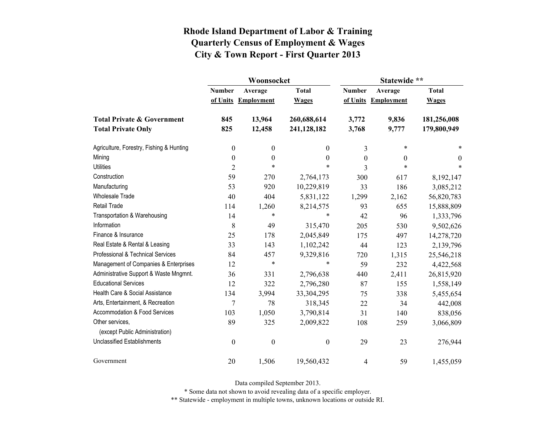|                                                   |                  | Woonsocket        |                  | Statewide **  |                   |              |  |
|---------------------------------------------------|------------------|-------------------|------------------|---------------|-------------------|--------------|--|
|                                                   | <b>Number</b>    | Average           | <b>Total</b>     | <b>Number</b> | Average           | <b>Total</b> |  |
|                                                   | of Units         | <b>Employment</b> | <b>Wages</b>     | of Units      | <b>Employment</b> | <b>Wages</b> |  |
| <b>Total Private &amp; Government</b>             | 845              | 13,964            | 260,688,614      | 3,772         | 9,836             | 181,256,008  |  |
| <b>Total Private Only</b>                         | 825              | 12,458            | 241,128,182      | 3,768         | 9,777             | 179,800,949  |  |
| Agriculture, Forestry, Fishing & Hunting          | $\boldsymbol{0}$ | $\boldsymbol{0}$  | $\overline{0}$   | 3             | $\ast$            | *            |  |
| Mining                                            | $\boldsymbol{0}$ | $\boldsymbol{0}$  | $\boldsymbol{0}$ | $\theta$      | 0                 | $\theta$     |  |
| <b>Utilities</b>                                  | $\overline{2}$   | $\ast$            | $\ast$           | 3             | $\ast$            | $\ast$       |  |
| Construction                                      | 59               | 270               | 2,764,173        | 300           | 617               | 8,192,147    |  |
| Manufacturing                                     | 53               | 920               | 10,229,819       | 33            | 186               | 3,085,212    |  |
| <b>Wholesale Trade</b>                            | 40               | 404               | 5,831,122        | 1,299         | 2,162             | 56,820,783   |  |
| Retail Trade                                      | 114              | 1,260             | 8,214,575        | 93            | 655               | 15,888,809   |  |
| Transportation & Warehousing                      | 14               | $\ast$            | *                | 42            | 96                | 1,333,796    |  |
| Information                                       | 8                | 49                | 315,470          | 205           | 530               | 9,502,626    |  |
| Finance & Insurance                               | 25               | 178               | 2,045,849        | 175           | 497               | 14,278,720   |  |
| Real Estate & Rental & Leasing                    | 33               | 143               | 1,102,242        | 44            | 123               | 2,139,796    |  |
| Professional & Technical Services                 | 84               | 457               | 9,329,816        | 720           | 1,315             | 25,546,218   |  |
| Management of Companies & Enterprises             | 12               | $\ast$            | $\ast$           | 59            | 232               | 4,422,568    |  |
| Administrative Support & Waste Mngmnt.            | 36               | 331               | 2,796,638        | 440           | 2,411             | 26,815,920   |  |
| <b>Educational Services</b>                       | 12               | 322               | 2,796,280        | 87            | 155               | 1,558,149    |  |
| Health Care & Social Assistance                   | 134              | 3,994             | 33,304,295       | 75            | 338               | 5,455,654    |  |
| Arts, Entertainment, & Recreation                 | 7                | 78                | 318,345          | 22            | 34                | 442,008      |  |
| Accommodation & Food Services                     | 103              | 1,050             | 3,790,814        | 31            | 140               | 838,056      |  |
| Other services,<br>(except Public Administration) | 89               | 325               | 2,009,822        | 108           | 259               | 3,066,809    |  |
| <b>Unclassified Establishments</b>                | $\boldsymbol{0}$ | $\boldsymbol{0}$  | $\boldsymbol{0}$ | 29            | 23                | 276,944      |  |
|                                                   |                  |                   |                  |               |                   |              |  |
| Government                                        | 20               | 1,506             | 19,560,432       | 4             | 59                | 1,455,059    |  |

Data compiled September 2013.

\* Some data not shown to avoid revealing data of a specific employer.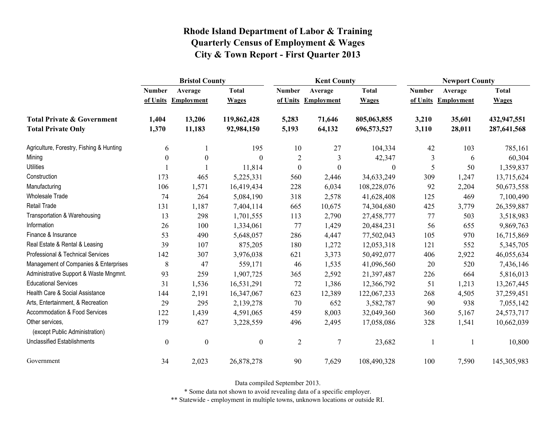|                                                   | <b>Bristol County</b> |                   |                  | <b>Kent County</b> |                   |                  | <b>Newport County</b> |                   |              |
|---------------------------------------------------|-----------------------|-------------------|------------------|--------------------|-------------------|------------------|-----------------------|-------------------|--------------|
|                                                   | <b>Number</b>         | Average           | <b>Total</b>     | <b>Number</b>      | Average           | <b>Total</b>     | <b>Number</b>         | Average           | <b>Total</b> |
|                                                   | of Units              | <b>Employment</b> | <b>Wages</b>     | of Units           | <b>Employment</b> | <b>Wages</b>     | of Units              | <b>Employment</b> | <b>Wages</b> |
| <b>Total Private &amp; Government</b>             | 1,404                 | 13,206            | 119,862,428      | 5,283              | 71,646            | 805,063,855      | 3,210                 | 35,601            | 432,947,551  |
| <b>Total Private Only</b>                         | 1,370                 | 11,183            | 92,984,150       | 5,193              | 64,132            | 696,573,527      | 3,110                 | 28,011            | 287,641,568  |
| Agriculture, Forestry, Fishing & Hunting          | 6                     |                   | 195              | 10                 | 27                | 104,334          | 42                    | 103               | 785,161      |
| Mining                                            | $\boldsymbol{0}$      | $\boldsymbol{0}$  | $\boldsymbol{0}$ | $\overline{c}$     | $\mathfrak{Z}$    | 42,347           | 3                     | 6                 | 60,304       |
| <b>Utilities</b>                                  |                       |                   | 11,814           | $\boldsymbol{0}$   | $\boldsymbol{0}$  | $\boldsymbol{0}$ | 5                     | 50                | 1,359,837    |
| Construction                                      | 173                   | 465               | 5,225,331        | 560                | 2,446             | 34,633,249       | 309                   | 1,247             | 13,715,624   |
| Manufacturing                                     | 106                   | 1,571             | 16,419,434       | 228                | 6,034             | 108,228,076      | 92                    | 2,204             | 50,673,558   |
| Wholesale Trade                                   | 74                    | 264               | 5,084,190        | 318                | 2,578             | 41,628,408       | 125                   | 469               | 7,100,490    |
| <b>Retail Trade</b>                               | 131                   | 1,187             | 7,404,114        | 665                | 10,675            | 74,304,680       | 425                   | 3,779             | 26,359,887   |
| Transportation & Warehousing                      | 13                    | 298               | 1,701,555        | 113                | 2,790             | 27,458,777       | 77                    | 503               | 3,518,983    |
| Information                                       | 26                    | 100               | 1,334,061        | 77                 | 1,429             | 20,484,231       | 56                    | 655               | 9,869,763    |
| Finance & Insurance                               | 53                    | 490               | 5,648,057        | 286                | 4,447             | 77,502,043       | 105                   | 970               | 16,715,869   |
| Real Estate & Rental & Leasing                    | 39                    | 107               | 875,205          | 180                | 1,272             | 12,053,318       | 121                   | 552               | 5,345,705    |
| Professional & Technical Services                 | 142                   | 307               | 3,976,038        | 621                | 3,373             | 50,492,077       | 406                   | 2,922             | 46,055,634   |
| Management of Companies & Enterprises             | 8                     | 47                | 559,171          | 46                 | 1,535             | 41,096,560       | 20                    | 520               | 7,436,146    |
| Administrative Support & Waste Mngmnt.            | 93                    | 259               | 1,907,725        | 365                | 2,592             | 21,397,487       | 226                   | 664               | 5,816,013    |
| <b>Educational Services</b>                       | 31                    | 1,536             | 16,531,291       | 72                 | 1,386             | 12,366,792       | 51                    | 1,213             | 13,267,445   |
| Health Care & Social Assistance                   | 144                   | 2,191             | 16,347,067       | 623                | 12,389            | 122,067,233      | 268                   | 4,505             | 37,259,451   |
| Arts, Entertainment, & Recreation                 | 29                    | 295               | 2,139,278        | 70                 | 652               | 3,582,787        | 90                    | 938               | 7,055,142    |
| Accommodation & Food Services                     | 122                   | 1,439             | 4,591,065        | 459                | 8,003             | 32,049,360       | 360                   | 5,167             | 24,573,717   |
| Other services,<br>(except Public Administration) | 179                   | 627               | 3,228,559        | 496                | 2,495             | 17,058,086       | 328                   | 1,541             | 10,662,039   |
| <b>Unclassified Establishments</b>                | $\boldsymbol{0}$      | $\boldsymbol{0}$  | $\boldsymbol{0}$ | $\overline{2}$     | $\overline{7}$    | 23,682           |                       |                   | 10,800       |
| Government                                        | 34                    | 2,023             | 26,878,278       | 90                 | 7,629             | 108,490,328      | 100                   | 7,590             | 145,305,983  |

Data compiled September 2013.

\* Some data not shown to avoid revealing data of a specific employer.